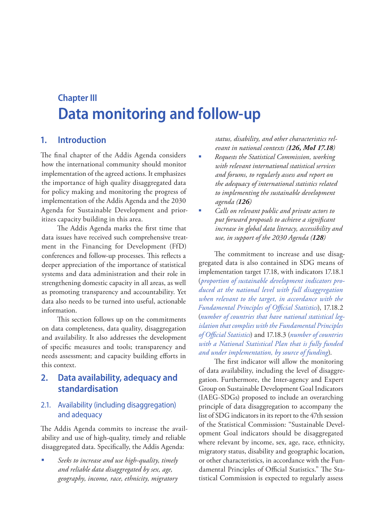# **Chapter III Data monitoring and follow-up**

# **1. Introduction**

The final chapter of the Addis Agenda considers how the international community should monitor implementation of the agreed actions. It emphasizes the importance of high quality disaggregated data for policy making and monitoring the progress of implementation of the Addis Agenda and the 2030 Agenda for Sustainable Development and prioritizes capacity building in this area.

The Addis Agenda marks the first time that data issues have received such comprehensive treatment in the Financing for Development (FfD) conferences and follow-up processes. This reflects a deeper appreciation of the importance of statistical systems and data administration and their role in strengthening domestic capacity in all areas, as well as promoting transparency and accountability. Yet data also needs to be turned into useful, actionable information.

This section follows up on the commitments on data completeness, data quality, disaggregation and availability. It also addresses the development of specific measures and tools; transparency and needs assessment; and capacity building efforts in this context.

# **2. Data availability, adequacy and standardisation**

## 2.1. Availability (including disaggregation) and adequacy

The Addis Agenda commits to increase the availability and use of high-quality, timely and reliable disaggregated data. Specifically, the Addis Agenda:

 *Seeks to increase and use high-quality, timely and reliable data disaggregated by sex, age, geography, income, race, ethnicity, migratory*  *status, disability, and other characteristics relevant in national contexts (126, MoI 17.18)*

- *Requests the Statistical Commission, working with relevant international statistical services and forums, to regularly assess and report on the adequacy of international statistics related to implementing the sustainable development agenda (126)*
- *Calls on relevant public and private actors to put forward proposals to achieve a significant increase in global data literacy, accessibility and use, in support of the 2030 Agenda (128)*

The commitment to increase and use disaggregated data is also contained in SDG means of implementation target 17.18, with indicators 17.18.1 (*proportion of sustainable development indicators produced at the national level with full disaggregation when relevant to the target, in accordance with the Fundamental Principles of Official Statistics*), 17.18.2 (*number of countries that have national statistical legislation that complies with the Fundamental Principles of Official Statistics*) and 17.18.3 (*number of countries with a National Statistical Plan that is fully funded and under implementation, by source of funding*).

The first indicator will allow the monitoring of data availability, including the level of disaggregation. Furthermore, the Inter-agency and Expert Group on Sustainable Development Goal Indicators (IAEG-SDGs) proposed to include an overarching principle of data disaggregation to accompany the list of SDG indicators in its report to the 47th session of the Statistical Commission: "Sustainable Development Goal indicators should be disaggregated where relevant by income, sex, age, race, ethnicity, migratory status, disability and geographic location, or other characteristics, in accordance with the Fundamental Principles of Official Statistics." The Statistical Commission is expected to regularly assess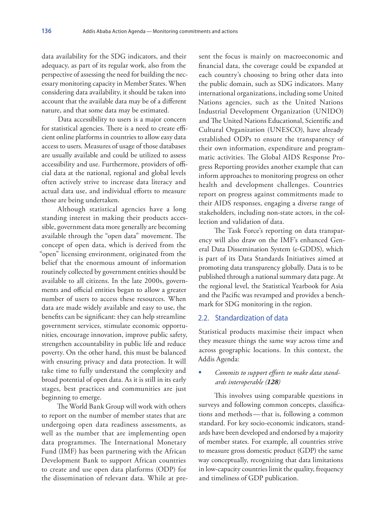data availability for the SDG indicators, and their adequacy, as part of its regular work, also from the perspective of assessing the need for building the necessary monitoring capacity in Member States. When considering data availability, it should be taken into account that the available data may be of a different nature, and that some data may be estimated.

Data accessibility to users is a major concern for statistical agencies. There is a need to create efficient online platforms in countries to allow easy data access to users. Measures of usage of those databases are usually available and could be utilized to assess accessibility and use. Furthermore, providers of official data at the national, regional and global levels often actively strive to increase data literacy and actual data use, and individual efforts to measure those are being undertaken.

Although statistical agencies have a long standing interest in making their products accessible, government data more generally are becoming available through the "open data" movement. The concept of open data, which is derived from the "open" licensing environment, originated from the belief that the enormous amount of information routinely collected by government entities should be available to all citizens. In the late 2000s, governments and official entities began to allow a greater number of users to access these resources. When data are made widely available and easy to use, the benefits can be significant: they can help streamline government services, stimulate economic opportunities, encourage innovation, improve public safety, strengthen accountability in public life and reduce poverty. On the other hand, this must be balanced with ensuring privacy and data protection. It will take time to fully understand the complexity and broad potential of open data. As it is still in its early stages, best practices and communities are just beginning to emerge.

The World Bank Group will work with others to report on the number of member states that are undergoing open data readiness assessments, as well as the number that are implementing open data programmes. The International Monetary Fund (IMF) has been partnering with the African Development Bank to support African countries to create and use open data platforms (ODP) for the dissemination of relevant data. While at present the focus is mainly on macroeconomic and financial data, the coverage could be expanded at each country's choosing to bring other data into the public domain, such as SDG indicators. Many international organizations, including some United Nations agencies, such as the United Nations Industrial Development Organization (UNIDO) and The United Nations Educational, Scientific and Cultural Organization (UNESCO), have already established ODPs to ensure the transparency of their own information, expenditure and programmatic activities. The Global AIDS Response Progress Reporting provides another example that can inform approaches to monitoring progress on other health and development challenges. Countries report on progress against commitments made to their AIDS responses, engaging a diverse range of stakeholders, including non-state actors, in the collection and validation of data.

The Task Force's reporting on data transparency will also draw on the IMF's enhanced General Data Dissemination System (e-GDDS), which is part of its Data Standards Initiatives aimed at promoting data transparency globally. Data is to be published through a national summary data page. At the regional level, the Statistical Yearbook for Asia and the Pacific was revamped and provides a benchmark for SDG monitoring in the region.

#### 2.2. Standardization of data

Statistical products maximise their impact when they measure things the same way across time and across geographic locations. In this context, the Addis Agenda:

#### *Commits to support efforts to make data standards interoperable (128)*

This involves using comparable questions in surveys and following common concepts, classifications and methods—that is, following a common standard. For key socio-economic indicators, standards have been developed and endorsed by a majority of member states. For example, all countries strive to measure gross domestic product (GDP) the same way conceptually, recognizing that data limitations in low-capacity countries limit the quality, frequency and timeliness of GDP publication.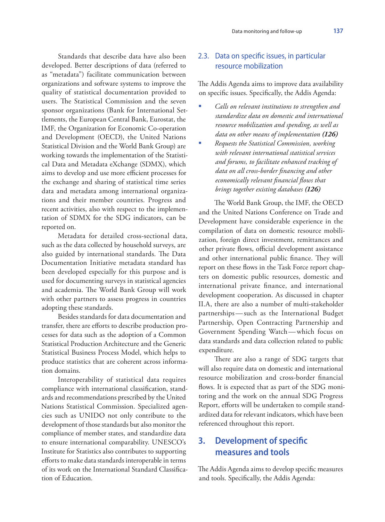Standards that describe data have also been developed. Better descriptions of data (referred to as "metadata") facilitate communication between organizations and software systems to improve the quality of statistical documentation provided to users. The Statistical Commission and the seven sponsor organizations (Bank for International Settlements, the European Central Bank, Eurostat, the IMF, the Organization for Economic Co-operation and Development (OECD), the United Nations Statistical Division and the World Bank Group) are working towards the implementation of the Statistical Data and Metadata eXchange (SDMX), which aims to develop and use more efficient processes for the exchange and sharing of statistical time series data and metadata among international organizations and their member countries. Progress and recent activities, also with respect to the implementation of SDMX for the SDG indicators, can be reported on.

Metadata for detailed cross-sectional data, such as the data collected by household surveys, are also guided by international standards. The Data Documentation Initiative metadata standard has been developed especially for this purpose and is used for documenting surveys in statistical agencies and academia. The World Bank Group will work with other partners to assess progress in countries adopting these standards.

Besides standards for data documentation and transfer, there are efforts to describe production processes for data such as the adoption of a Common Statistical Production Architecture and the Generic Statistical Business Process Model, which helps to produce statistics that are coherent across information domains.

Interoperability of statistical data requires compliance with international classification, standards and recommendations prescribed by the United Nations Statistical Commission. Specialized agencies such as UNIDO not only contribute to the development of those standards but also monitor the compliance of member states, and standardize data to ensure international comparability. UNESCO's Institute for Statistics also contributes to supporting efforts to make data standards interoperable in terms of its work on the International Standard Classification of Education.

### 2.3. Data on specific issues, in particular resource mobilization

The Addis Agenda aims to improve data availability on specific issues. Specifically, the Addis Agenda:

- *Calls on relevant institutions to strengthen and standardize data on domestic and international resource mobilization and spending, as well as data on other means of implementation (126)*
- *Requests the Statistical Commission, working with relevant international statistical services and forums, to facilitate enhanced tracking of data on all cross-border financing and other economically relevant financial flows that brings together existing databases (126)*

The World Bank Group, the IMF, the OECD and the United Nations Conference on Trade and Development have considerable experience in the compilation of data on domestic resource mobilization, foreign direct investment, remittances and other private flows, official development assistance and other international public finance. They will report on these flows in the Task Force report chapters on domestic public resources, domestic and international private finance, and international development cooperation. As discussed in chapter II.A, there are also a number of multi-stakeholder partnerships—such as the International Budget Partnership, Open Contracting Partnership and Government Spending Watch—which focus on data standards and data collection related to public expenditure.

There are also a range of SDG targets that will also require data on domestic and international resource mobilization and cross-border financial flows. It is expected that as part of the SDG monitoring and the work on the annual SDG Progress Report, efforts will be undertaken to compile standardized data for relevant indicators, which have been referenced throughout this report.

# **3. Development of specific measures and tools**

The Addis Agenda aims to develop specific measures and tools. Specifically, the Addis Agenda: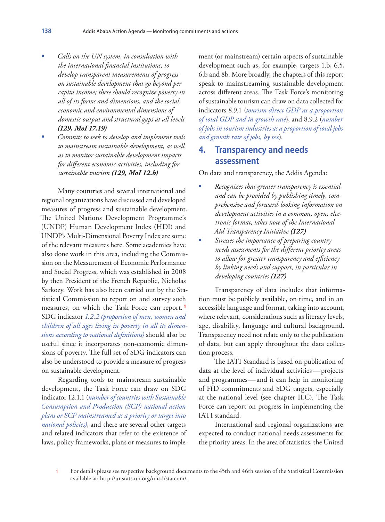- *Calls on the UN system, in consultation with the international financial institutions, to develop transparent measurements of progress on sustainable development that go beyond per capita income; these should recognize poverty in all of its forms and dimensions, and the social, economic and environmental dimensions of domestic output and structural gaps at all levels (129, MoI 17.19)*
- *Commits to seek to develop and implement tools to mainstream sustainable development, as well as to monitor sustainable development impacts for different economic activities, including for sustainable tourism (129, MoI 12.b)*

Many countries and several international and regional organizations have discussed and developed measures of progress and sustainable development. The United Nations Development Programme's (UNDP) Human Development Index (HDI) and UNDP's Multi-Dimensional Poverty Index are some of the relevant measures here. Some academics have also done work in this area, including the Commission on the Measurement of Economic Performance and Social Progress, which was established in 2008 by then President of the French Republic, Nicholas Sarkozy. Work has also been carried out by the Statistical Commission to report on and survey such measures, on which the Task Force can report. **<sup>1</sup>** SDG indicator *1.2.2 (proportion of men, women and children of all ages living in poverty in all its dimensions according to national definitions)* should also be useful since it incorporates non-economic dimensions of poverty. The full set of SDG indicators can also be understood to provide a measure of progress on sustainable development.

Regarding tools to mainstream sustainable development, the Task Force can draw on SDG indicator 12.1.1 (*number of countries with Sustainable Consumption and Production (SCP) national action plans or SCP mainstreamed as a priority or target into national policies)*, and there are several other targets and related indicators that refer to the existence of laws, policy frameworks, plans or measures to implement (or mainstream) certain aspects of sustainable development such as, for example, targets 1.b, 6.5, 6.b and 8b. More broadly, the chapters of this report speak to mainstreaming sustainable development across different areas. The Task Force's monitoring of sustainable tourism can draw on data collected for indicators 8.9.1 (*tourism direct GDP as a proportion of total GDP and in growth rate*), and 8.9.2 (*number of jobs in tourism industries as a proportion of total jobs and growth rate of jobs, by sex*).

## **4. Transparency and needs assessment**

On data and transparency, the Addis Agenda:

- *Recognizes that greater transparency is essential and can be provided by publishing timely, comprehensive and forward-looking information on development activities in a common, open, electronic format; takes note of the International Aid Transparency Initiative (127)*
- *Stresses the importance of preparing country needs assessments for the different priority areas to allow for greater transparency and efficiency by linking needs and support, in particular in developing countries (127)*

Transparency of data includes that information must be publicly available, on time, and in an accessible language and format, taking into account, where relevant, considerations such as literacy levels, age, disability, language and cultural background. Transparency need not relate only to the publication of data, but can apply throughout the data collection process.

The IATI Standard is based on publication of data at the level of individual activities—projects and programmes—and it can help in monitoring of FfD commitments and SDG targets, especially at the national level (see chapter II.C). The Task Force can report on progress in implementing the IATI standard.

International and regional organizations are expected to conduct national needs assessments for the priority areas. In the area of statistics, the United

1 For details please see respective background documents to the 45th and 46th session of the Statistical Commission available at: http://unstats.un.org/unsd/statcom/.